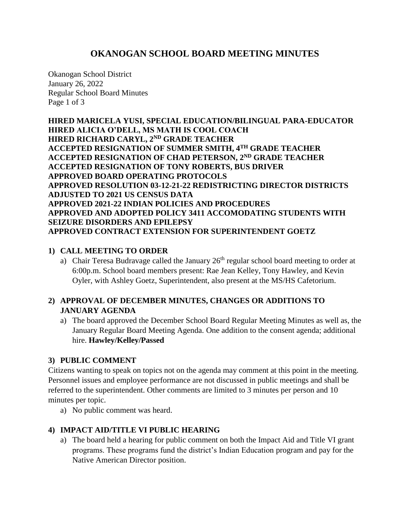# **OKANOGAN SCHOOL BOARD MEETING MINUTES**

Okanogan School District January 26, 2022 Regular School Board Minutes Page 1 of 3

**HIRED MARICELA YUSI, SPECIAL EDUCATION/BILINGUAL PARA-EDUCATOR HIRED ALICIA O'DELL, MS MATH IS COOL COACH HIRED RICHARD CARYL, 2ND GRADE TEACHER ACCEPTED RESIGNATION OF SUMMER SMITH, 4TH GRADE TEACHER ACCEPTED RESIGNATION OF CHAD PETERSON, 2ND GRADE TEACHER ACCEPTED RESIGNATION OF TONY ROBERTS, BUS DRIVER APPROVED BOARD OPERATING PROTOCOLS APPROVED RESOLUTION 03-12-21-22 REDISTRICTING DIRECTOR DISTRICTS ADJUSTED TO 2021 US CENSUS DATA APPROVED 2021-22 INDIAN POLICIES AND PROCEDURES APPROVED AND ADOPTED POLICY 3411 ACCOMODATING STUDENTS WITH SEIZURE DISORDERS AND EPILEPSY APPROVED CONTRACT EXTENSION FOR SUPERINTENDENT GOETZ**

### **1) CALL MEETING TO ORDER**

a) Chair Teresa Budravage called the January  $26<sup>th</sup>$  regular school board meeting to order at 6:00p.m. School board members present: Rae Jean Kelley, Tony Hawley, and Kevin Oyler, with Ashley Goetz, Superintendent, also present at the MS/HS Cafetorium.

# **2) APPROVAL OF DECEMBER MINUTES, CHANGES OR ADDITIONS TO JANUARY AGENDA**

a) The board approved the December School Board Regular Meeting Minutes as well as, the January Regular Board Meeting Agenda. One addition to the consent agenda; additional hire. **Hawley/Kelley/Passed**

#### **3) PUBLIC COMMENT**

Citizens wanting to speak on topics not on the agenda may comment at this point in the meeting. Personnel issues and employee performance are not discussed in public meetings and shall be referred to the superintendent. Other comments are limited to 3 minutes per person and 10 minutes per topic.

a) No public comment was heard.

#### **4) IMPACT AID/TITLE VI PUBLIC HEARING**

a) The board held a hearing for public comment on both the Impact Aid and Title VI grant programs. These programs fund the district's Indian Education program and pay for the Native American Director position.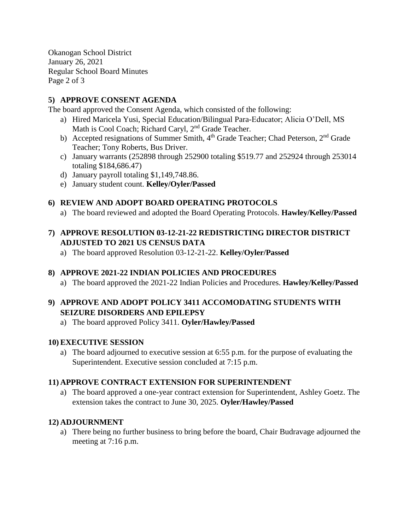Okanogan School District January 26, 2021 Regular School Board Minutes Page 2 of 3

## **5) APPROVE CONSENT AGENDA**

The board approved the Consent Agenda, which consisted of the following:

- a) Hired Maricela Yusi, Special Education/Bilingual Para-Educator; Alicia O'Dell, MS Math is Cool Coach; Richard Caryl, 2<sup>nd</sup> Grade Teacher.
- b) Accepted resignations of Summer Smith, 4<sup>th</sup> Grade Teacher; Chad Peterson, 2<sup>nd</sup> Grade Teacher; Tony Roberts, Bus Driver.
- c) January warrants (252898 through 252900 totaling \$519.77 and 252924 through 253014 totaling \$184,686.47)
- d) January payroll totaling \$1,149,748.86.
- e) January student count. **Kelley/Oyler/Passed**

### **6) REVIEW AND ADOPT BOARD OPERATING PROTOCOLS**

a) The board reviewed and adopted the Board Operating Protocols. **Hawley/Kelley/Passed**

## **7) APPROVE RESOLUTION 03-12-21-22 REDISTRICTING DIRECTOR DISTRICT ADJUSTED TO 2021 US CENSUS DATA**

a) The board approved Resolution 03-12-21-22. **Kelley/Oyler/Passed**

## **8) APPROVE 2021-22 INDIAN POLICIES AND PROCEDURES**

a) The board approved the 2021-22 Indian Policies and Procedures. **Hawley/Kelley/Passed**

## **9) APPROVE AND ADOPT POLICY 3411 ACCOMODATING STUDENTS WITH SEIZURE DISORDERS AND EPILEPSY**

a) The board approved Policy 3411. **Oyler/Hawley/Passed**

#### **10) EXECUTIVE SESSION**

a) The board adjourned to executive session at 6:55 p.m. for the purpose of evaluating the Superintendent. Executive session concluded at 7:15 p.m.

#### **11) APPROVE CONTRACT EXTENSION FOR SUPERINTENDENT**

a) The board approved a one-year contract extension for Superintendent, Ashley Goetz. The extension takes the contract to June 30, 2025. **Oyler/Hawley/Passed**

#### **12) ADJOURNMENT**

a) There being no further business to bring before the board, Chair Budravage adjourned the meeting at 7:16 p.m.